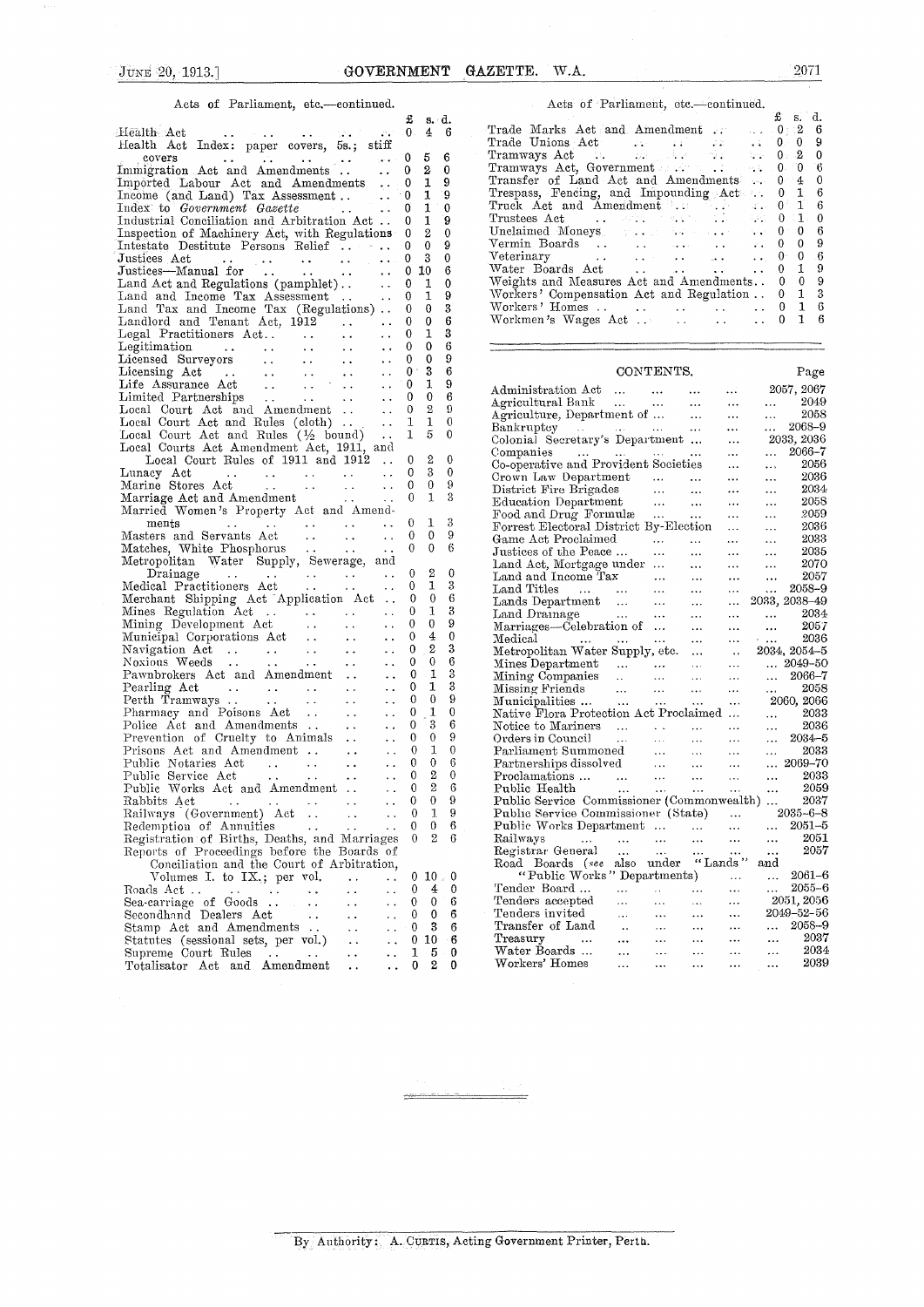### Acts of Parliament, etc.—continued.

|                                                                                                                                                                                                                                                                                                                                | £                | $s \cdot d.$     |                       | £<br>d.<br>s.                                                                                                                                                                                                                                                                    |
|--------------------------------------------------------------------------------------------------------------------------------------------------------------------------------------------------------------------------------------------------------------------------------------------------------------------------------|------------------|------------------|-----------------------|----------------------------------------------------------------------------------------------------------------------------------------------------------------------------------------------------------------------------------------------------------------------------------|
| $\begin{bmatrix} 0 & 0 & 0 \\ 0 & 0 & 0 \\ 0 & 0 & 0 \end{bmatrix} \begin{bmatrix} 0 & 0 & 0 \\ 0 & 0 & 0 \\ 0 & 0 & 0 \\ 0 & 0 & 0 \end{bmatrix} \begin{bmatrix} 0 & 0 & 0 \\ 0 & 0 & 0 \\ 0 & 0 & 0 \\ 0 & 0 & 0 \end{bmatrix} \begin{bmatrix} 0 & 0 & 0 \\ 0 & 0 & 0 \\ 0 & 0 & 0 \\ 0 & 0 & 0 \end{bmatrix}$<br>Health Act |                  | $\overline{4}$   | $-6$                  | -2<br>Trade Marks Act and Amendment 0<br>6                                                                                                                                                                                                                                       |
| Health Act Index: paper covers, 5s.; stiff                                                                                                                                                                                                                                                                                     |                  |                  |                       | 9<br>$\mathbf{0}$                                                                                                                                                                                                                                                                |
|                                                                                                                                                                                                                                                                                                                                |                  | 5                | 6                     | $\mathbf{2}$<br>$\theta$                                                                                                                                                                                                                                                         |
| Immigration Act and Amendments 0                                                                                                                                                                                                                                                                                               |                  |                  |                       | Tramways Act, Government 0<br>$\overline{0}$<br>$6\phantom{.0}6$                                                                                                                                                                                                                 |
|                                                                                                                                                                                                                                                                                                                                |                  | 2                | $\mathbf 0$           |                                                                                                                                                                                                                                                                                  |
| Imported Labour Act and Amendments 0                                                                                                                                                                                                                                                                                           |                  | $\mathbf 1$      | 9                     | Transfer of Land Act and Amendments . 0<br>$\overline{4}$<br>$\overline{0}$                                                                                                                                                                                                      |
|                                                                                                                                                                                                                                                                                                                                |                  | $\mathbf{1}$     | 9                     | $\mathbf{1}$<br>6<br>Trespass, Fencing, and Impounding Act. . 0                                                                                                                                                                                                                  |
| Index to <i>Government Gazette</i><br><b>Contractor</b>                                                                                                                                                                                                                                                                        |                  | $\mathbf{1}$     | $\mathbf 0$           | Truck Act and Amendment    0<br>$\mathbf{1}$<br>6                                                                                                                                                                                                                                |
| Industrial Conciliation and Arbitration Act                                                                                                                                                                                                                                                                                    | $\theta$         | 1                | 9                     | $\mathbf{1}$<br>$\bf{0}$<br>Trustees Act<br>$\mathcal{L} = \mathcal{L} \mathcal{L} = \mathcal{L} \mathcal{L} \mathcal{L} \mathcal{L} = \mathcal{L} \mathcal{L} \mathcal{L} \mathcal{L} = \mathcal{L} \mathcal{L} \mathcal{L} = \mathcal{L} \mathcal{L} \mathcal{L} = \mathbf{0}$ |
|                                                                                                                                                                                                                                                                                                                                |                  | $^{\circ}$ 2     | $\mathbf{0}$          | $\overline{0}$<br>6<br>Unclaimed Moneys Francisco Communications<br>$^{\circ}$                                                                                                                                                                                                   |
| Inspection of Machinery Act, with Regulations 0                                                                                                                                                                                                                                                                                |                  |                  |                       | $\Omega$<br>9<br>$\mathbf 0$                                                                                                                                                                                                                                                     |
| Intestate Destitute Persons Relief                                                                                                                                                                                                                                                                                             | $\Omega$         | $\mathbf 0$      | 9                     | $\theta$<br>$6\phantom{1}6$                                                                                                                                                                                                                                                      |
|                                                                                                                                                                                                                                                                                                                                |                  | -3               | $\mathbf 0$           |                                                                                                                                                                                                                                                                                  |
|                                                                                                                                                                                                                                                                                                                                | $\mathbf{0}$     | 10               | 6                     | $\mathbf{1}$<br>9                                                                                                                                                                                                                                                                |
|                                                                                                                                                                                                                                                                                                                                |                  | 1                | $\mathbf 0$           | 9<br>Weights and Measures Act and Amendments 0<br>$\overline{0}$                                                                                                                                                                                                                 |
|                                                                                                                                                                                                                                                                                                                                |                  | 1                | 9                     | $\mathbf{1}$<br>Workers' Compensation Act and Regulation . 0<br>-3                                                                                                                                                                                                               |
| Land Tax and Income Tax (Regulations) . 0                                                                                                                                                                                                                                                                                      |                  | $\theta$         | 3                     | Workers' Homes     0 1 6                                                                                                                                                                                                                                                         |
|                                                                                                                                                                                                                                                                                                                                |                  | $\mathbf 0$      | 6                     | Workmen's Wages Act    0<br>1<br>-6                                                                                                                                                                                                                                              |
| Landlord and Tenant Act, 1912                                                                                                                                                                                                                                                                                                  | $\overline{0}$   |                  |                       |                                                                                                                                                                                                                                                                                  |
| $\cdots$ 0<br>Legal Practitioners Act                                                                                                                                                                                                                                                                                          |                  | 1                | 3                     |                                                                                                                                                                                                                                                                                  |
|                                                                                                                                                                                                                                                                                                                                | $^{0}$           | $\mathbf 0$      | $\boldsymbol{6}$      |                                                                                                                                                                                                                                                                                  |
|                                                                                                                                                                                                                                                                                                                                | $\theta$         | $\bf{0}$         | 9                     |                                                                                                                                                                                                                                                                                  |
|                                                                                                                                                                                                                                                                                                                                | $\bf{0}$         | 3                | 6                     | CONTENTS.<br>Page                                                                                                                                                                                                                                                                |
|                                                                                                                                                                                                                                                                                                                                | $\bf{0}$         | 1                | 9                     |                                                                                                                                                                                                                                                                                  |
|                                                                                                                                                                                                                                                                                                                                |                  | $\mathbf{0}$     | 6                     | 2057, 2067<br>Administration Act<br>$\sim 10^7$                                                                                                                                                                                                                                  |
|                                                                                                                                                                                                                                                                                                                                | $\mathbf{0}$     |                  |                       | 2049<br>Agricultural Bank<br>Agriculture, Department of<br>$\mathbf{1}$ , $\mathbf{1}$ , $\mathbf{1}$                                                                                                                                                                            |
| Local Court Act and Amendment                                                                                                                                                                                                                                                                                                  | $\mathbf{0}$     | $\boldsymbol{2}$ | $\boldsymbol{\Omega}$ | 2058<br>$\ddotsc$                                                                                                                                                                                                                                                                |
| Local Court Act and Rules (cloth)  . 1                                                                                                                                                                                                                                                                                         |                  | 1                | $\mathbf{0}$          | $\ldots$ 2068-9<br>Bankruptcy                                                                                                                                                                                                                                                    |
| Local Court Act and Rules $(\frac{1}{2}$ bound).                                                                                                                                                                                                                                                                               | $\mathbf{1}$     | 5                | $\mathbf{0}$          | Colonial Secretary's Department<br>2033, 2036                                                                                                                                                                                                                                    |
| Local Courts Act Amendment Act, 1911, and                                                                                                                                                                                                                                                                                      |                  |                  |                       | $\ldots$ 2066-7                                                                                                                                                                                                                                                                  |
| Local Court Rules of 1911 and 1912  0                                                                                                                                                                                                                                                                                          |                  | $\boldsymbol{2}$ | $\mathbf 0$           | Companies<br>$\sim 10^{-1}$                                                                                                                                                                                                                                                      |
|                                                                                                                                                                                                                                                                                                                                |                  | 3                | $\theta$              | Co-operative and Provident Societies<br>2056<br>$\ldots$<br>$\cdots$                                                                                                                                                                                                             |
|                                                                                                                                                                                                                                                                                                                                |                  | $\mathbf{0}$     | 9                     | Crown Law Department<br>2036<br>$\ldots$<br>$\ddotsc$                                                                                                                                                                                                                            |
|                                                                                                                                                                                                                                                                                                                                |                  |                  |                       | 2034<br>$\ddotsc$<br>$\ddotsc$                                                                                                                                                                                                                                                   |
| Marriage Act and Amendment 0                                                                                                                                                                                                                                                                                                   |                  | 1                | 3                     | 2058<br>$\sim 100$<br>$\cdots$                                                                                                                                                                                                                                                   |
| Married Women's Property Act and Amend-                                                                                                                                                                                                                                                                                        |                  |                  |                       | District Fire Brigades<br>Education Department<br>Food and Drug Formulæ<br>2059<br>$\mathcal{L}_{\mathcal{A},\mathcal{A}}$ .<br>$\ddotsc$                                                                                                                                        |
| ments<br>Masters and Servants Act<br>Matches With Discovery Contract and Matches With Discovery Contract and Matches With Discovery Contract and Matches Services<br>The Contract and Matches With Discovery Contract and Matches Se                                                                                           |                  | -1               | 3                     | Forrest Electoral District By-Election<br>2036<br>$\sim 100$<br>$\ldots$                                                                                                                                                                                                         |
|                                                                                                                                                                                                                                                                                                                                | $\overline{0}$   | $\overline{0}$   | 9                     | Game Act Proclaimed<br>2033                                                                                                                                                                                                                                                      |
|                                                                                                                                                                                                                                                                                                                                |                  | $\overline{0}$   | 6                     | $\mathbf{1}$ and $\mathbf{1}$<br>$\ldots$                                                                                                                                                                                                                                        |
| Matches, White Phosphorus  0<br>Metropolitan Water Supply, Sewerage, and                                                                                                                                                                                                                                                       |                  |                  |                       | Justices of the Peace<br>2035<br><b>Service</b><br>$\mathbf{1.1}$ and $\mathbf{1.1}$<br>$\ldots$                                                                                                                                                                                 |
|                                                                                                                                                                                                                                                                                                                                |                  |                  |                       | 2070<br>Land Act, Mortgage under<br>$\mathbf{1}$ , $\mathbf{1}$ , $\mathbf{1}$<br>$\ldots$                                                                                                                                                                                       |
| Drainage 0<br>Medical Practitioners Act 0                                                                                                                                                                                                                                                                                      |                  | $^{2}$           | $\mathbf{0}$          | Land and Income Tax<br>2057<br>$\ldots$ .<br>$\cdots$                                                                                                                                                                                                                            |
|                                                                                                                                                                                                                                                                                                                                |                  | 1                | 3                     | Land Titles<br>Lands Department<br>Land Dramage<br>$\ldots$ $\ldots$ 2058-9                                                                                                                                                                                                      |
| Merchant Shipping Act Application Act  0                                                                                                                                                                                                                                                                                       |                  | $\mathbf{0}$     | 6                     | $\ldots$ 2033, 2038–49                                                                                                                                                                                                                                                           |
|                                                                                                                                                                                                                                                                                                                                |                  | 1                | 3                     | 2034<br>and the contract of                                                                                                                                                                                                                                                      |
| Mines Regulation Act 0<br>Mining Development Act 0                                                                                                                                                                                                                                                                             |                  | $\mathbf{0}$     | 9                     | Marriages-Celebration of<br>2057<br>$\sim 100$<br>$\cdots$                                                                                                                                                                                                                       |
| $\sim 10^{-1}$                                                                                                                                                                                                                                                                                                                 | $\overline{0}$   | $\overline{4}$   | $\mathbf{0}$          | 2036                                                                                                                                                                                                                                                                             |
|                                                                                                                                                                                                                                                                                                                                | $\mathbf{0}$     | $\mathbf{2}$     | 3                     | Medical<br>$\sim 100$ km $^{-1}$                                                                                                                                                                                                                                                 |
|                                                                                                                                                                                                                                                                                                                                |                  |                  |                       | 2034, 2054-5<br>Metropolitan Water Supply, etc.                                                                                                                                                                                                                                  |
|                                                                                                                                                                                                                                                                                                                                | $\overline{0}$   | $\mathbf{0}$     | 6                     | Mines Department<br>Mining Companies<br>Mining Companies<br>Mining Friends<br>Municipalities<br>Municipalities<br>Municipalities<br>Municipalities<br>Municipalities<br>2060, 2066                                                                                               |
| Pawnbrokers Act and Amendment<br>$\ddotsc$                                                                                                                                                                                                                                                                                     | $\overline{0}$   | 1                | $\boldsymbol{3}$      |                                                                                                                                                                                                                                                                                  |
| Pearling Act<br>$\mathcal{L}^{\mathcal{L}}$ , where $\mathcal{L}^{\mathcal{L}}$ is a set of the set of the $\mathcal{L}^{\mathcal{L}}$<br>$\sim$ $\sim$                                                                                                                                                                        | $\mathbf 0$      | 1                | 3                     |                                                                                                                                                                                                                                                                                  |
| $\sim$ $\sim$                                                                                                                                                                                                                                                                                                                  | $\Omega$         | $\mathbf{0}$     | 9                     |                                                                                                                                                                                                                                                                                  |
| $\sim$ $\sim$                                                                                                                                                                                                                                                                                                                  | $\theta$         | 1                | 0                     | Native Flora Protection Act Proclaimed<br>2033<br>$\Delta\Delta\Delta\approx 0.01$                                                                                                                                                                                               |
|                                                                                                                                                                                                                                                                                                                                | $\mathbf 0$      | 3                | 6                     | 2036                                                                                                                                                                                                                                                                             |
| $\sim$ $\sim$                                                                                                                                                                                                                                                                                                                  |                  |                  |                       | Notice to Mariners<br>$\mathbf{1}$                                                                                                                                                                                                                                               |
| Prevention of Cruelty to Animals<br>$\sim$ $\sim$                                                                                                                                                                                                                                                                              | $\mathbf{0}$     | $\mathbf{0}$     | 9                     | Coders in Council<br>Parliament Summoned<br>Parliament Summoned<br>Parliament Summoned<br>Parliament Summoned<br>Parliament Summoned<br>Parliament Summoned<br>Parliament Summoned<br>Parliament Summoned<br>Parliament Summoned<br>Parliament Sum<br>$ \quad 2034 - 5$          |
| Prisons Act and Amendment<br>$\ddot{\phantom{a}}$                                                                                                                                                                                                                                                                              | $\theta$         | 1                | $\mathbf{0}$          | 2033<br>$\mathbf{r}$ , $\mathbf{r}$ , $\mathbf{r}$                                                                                                                                                                                                                               |
| $\sim 10$                                                                                                                                                                                                                                                                                                                      | $\mathbf{0}$     | $\mathbf{0}$     | 6                     | $\ldots$ 2069-70                                                                                                                                                                                                                                                                 |
| $\sim$ $\sim$                                                                                                                                                                                                                                                                                                                  | $\theta$         | $\rm{2}$         | $\theta$              | 2033<br><b>Section</b>                                                                                                                                                                                                                                                           |
| Public Works Act and Amendment<br>$\sim 10$                                                                                                                                                                                                                                                                                    | $\theta$         | $\overline{2}$   | 6                     | 2059                                                                                                                                                                                                                                                                             |
| Rabbits Act<br>$\ddot{\phantom{a}}$                                                                                                                                                                                                                                                                                            | $\boldsymbol{0}$ | $\theta$         | 9                     | Public Service Commissioner (Commonwealth)<br>2037                                                                                                                                                                                                                               |
|                                                                                                                                                                                                                                                                                                                                |                  |                  |                       |                                                                                                                                                                                                                                                                                  |
| Railways (Government) Act<br>$\sim$ $\sim$                                                                                                                                                                                                                                                                                     | $\boldsymbol{0}$ | 1                | 9                     | $2035 - 6 - 8$<br>Public Service Commissioner (State)                                                                                                                                                                                                                            |
| Redemption of Annuities<br>$\sim 100$                                                                                                                                                                                                                                                                                          | $\mathbf{0}$     | $\theta$         | 6                     | $2051 - 5$<br>Public Works Department<br>$\cdots$<br>$\cdots$                                                                                                                                                                                                                    |
| Registration of Births, Deaths, and Marriages                                                                                                                                                                                                                                                                                  | $\theta$         | $\mathbf{2}$     | 6                     | 2051<br>Railways<br>$\cdots$<br>$\ddotsc$<br>$\ldots$<br>.<br>$\cdots$<br>                                                                                                                                                                                                       |
| Reports of Proceedings before the Boards of                                                                                                                                                                                                                                                                                    |                  |                  |                       | 2057<br>Registrar General<br>$\ddotsc$<br>$\ldots$<br>$\ddotsc$<br>$\ddotsc$<br>$\cdots$                                                                                                                                                                                         |
| Conciliation and the Court of Arbitration,                                                                                                                                                                                                                                                                                     |                  |                  |                       | Road Boards (see also under<br>"Lands"<br>and                                                                                                                                                                                                                                    |
| Volumes I, to IX .; per vol.                                                                                                                                                                                                                                                                                                   |                  | 0 10 0 0         |                       | "Public Works" Departments)<br>$2061 - 6$<br>$\ldots$<br>$\ldots$                                                                                                                                                                                                                |
| $\sim$ $\sim$<br>$\ddot{\phantom{a}}$                                                                                                                                                                                                                                                                                          |                  |                  |                       | $2055 - 6$                                                                                                                                                                                                                                                                       |
| Roads Act<br>$\sim 100$<br>$\ddot{\phantom{a}}$ .<br>$\ddot{\phantom{a}}$<br>$\mathcal{L}^{\mathcal{L}}$ and $\mathcal{L}^{\mathcal{L}}$ are $\mathcal{L}^{\mathcal{L}}$ . Then, if $\mathcal{L}^{\mathcal{L}}$                                                                                                                | $\mathbf{0}$     | 4                | 0                     | Tender Board<br>$\cdots$<br>$\ldots$<br>$\sim 10^{-1}$<br>$\cdots$<br>$\cdots$                                                                                                                                                                                                   |
| Sea-carriage of Goods $\ldots$ .<br>$\sim$ $\sim$<br>$\ddot{\phantom{0}}$                                                                                                                                                                                                                                                      | $\mathbf{0}$     | $\mathbf{0}$     | 6                     | 2051, 2056<br>Tenders accepted<br>$\cdots$<br>$\cdots$<br>$\ddotsc$<br>$\cdots$                                                                                                                                                                                                  |
| Secondhand Dealers Act<br>$\sim$ $\sim$<br>$\ddot{\phantom{a}}$ .<br>$\ddot{\phantom{a}}$                                                                                                                                                                                                                                      | $\bf{0}$         | $\bf{0}$         | 6                     | 2049-52-56<br>Tenders invited<br>$\ddotsc$<br>$\ldots$<br>$\ddotsc$<br>$\cdots$                                                                                                                                                                                                  |
| Stamp Act and Amendments<br>$\ddot{\phantom{a}}$ .<br>$\ddot{\phantom{0}}$                                                                                                                                                                                                                                                     | $\mathbf{0}$     | 3                | 6                     | Transfer of Land<br>2058-9<br>$\sim$<br>$\ldots$<br>$\ddotsc$<br>$\ddotsc$<br>$\ldots$                                                                                                                                                                                           |
| Statutes (sessional sets, per vol.)<br>$\ddot{\phantom{1}}$ .<br>$\ddot{\phantom{0}}$                                                                                                                                                                                                                                          | $\mathbf{0}$     | 10               | 6                     | 2037<br>Treasurv<br>$\ddotsc$<br>$\cdots$<br>$\ldots$<br>$\ldots$<br>$\ddotsc$<br>$\ldots$                                                                                                                                                                                       |
| Supreme Court Rules                                                                                                                                                                                                                                                                                                            | 1                | 5                | 0                     | 2034<br>Water Boards<br>$\ldots$<br>$\ldots$<br>$\ldots$<br><br>$\ldots$                                                                                                                                                                                                         |
| <b>Carl Contract</b><br>$\ddot{\phantom{a}}$ .<br>$\ddot{\phantom{0}}$                                                                                                                                                                                                                                                         |                  |                  |                       | 2039<br>Workers' Homes                                                                                                                                                                                                                                                           |
| Totalisator Act and Amendment<br>$\sim$ $\sim$                                                                                                                                                                                                                                                                                 | $\bf{0}$         | $\boldsymbol{2}$ | 0                     | $\ddotsc$<br>$\ddotsc$<br>$\cdots$<br>$\ddotsc$<br>$\ddotsc$                                                                                                                                                                                                                     |

| Acts of Parliament, etc.-continued.                                           | Acts of Parliament, etc.-continued.                                       |          |
|-------------------------------------------------------------------------------|---------------------------------------------------------------------------|----------|
| $f$ s.d.                                                                      |                                                                           | $f$ s.d. |
| $\hbox{alth}\quad \hbox{Act}$ 0 $4$ 6                                         | Trade Marks Act and Amendment . 0 2 6                                     |          |
| alth Act Index: paper covers, 5s.; stiff                                      |                                                                           |          |
| covers 0 5 6                                                                  | Tramways Act 1. $\therefore$ $\therefore$ $\therefore$ $\therefore$ 0.2 0 |          |
| migration Act and Amendments 0 2 0                                            | Tramways Act, Government 0 0 6                                            |          |
| ported Labour Act and Amendments  0 1 9                                       | Transfer of Land Act and Amendments  0 4 0                                |          |
| $e^{\text{time}}$ (and Land) Tax Assessment 0 1 9                             | Trespass, Fencing, and Impounding Act. 0 1 6                              |          |
| $\det$ to Government Gazette $\qquad \qquad \ldots \qquad 0 \quad 1 \quad 0$  | Truck Act and Amendment    0 1 6                                          |          |
| dustrial Conciliation and Arbitration Act 0 1 9                               | Trustees Act $\cdots$ , $\cdots$ , $\cdots$ , $\cdots$ , $\cdots$         |          |
| spection of Machinery Act, with Regulations 0 2 0                             | Unclaimed Moneys $\ldots$ $\ldots$ $\ldots$ 0 0 6                         |          |
| estate Destitute Persons Relief 0 0 9                                         | Vermin Boards 0 0 9                                                       |          |
| stices $\det$ 0 3 0                                                           | Veterinary 0 0 6                                                          |          |
| $\text{stices}$ —Manual for $\dots$ $\dots$ $\dots$ $\qquad \, 0\,$ 10 $\,$ 6 |                                                                           |          |
|                                                                               | Weights and Measures Act and Amendments 0 0 9                             |          |
| nd and Income Tax Assessment  . 0 1 9                                         | Workers' Compensation Act and Regulation . 0 1 3                          |          |
| nd Tax and Income Tax (Regulations) 0 0 3                                     |                                                                           |          |
| ndlord and Tenant Act, 1912   0 0 6                                           | $\ldots$ 0 1 6                                                            |          |
| $\sim$ 1 $\sim$ 1.11 $\sim$ $\sim$ $\sim$ 1.1                                 |                                                                           |          |

| $\sim$                                                                                                                                                                         |                |                  |              | $\sim$ $\sim$ $\sim$                                                                                                                                                                                                                                                                                    |
|--------------------------------------------------------------------------------------------------------------------------------------------------------------------------------|----------------|------------------|--------------|---------------------------------------------------------------------------------------------------------------------------------------------------------------------------------------------------------------------------------------------------------------------------------------------------------|
| life Assurance Act<br><b>Contract Contract Contract</b><br>$\sim$ .                                                                                                            | $\mathbf 0$    | 1                | 9            | 2057, 2067<br>Administration Act<br>$\ldots$<br>$\ldots$                                                                                                                                                                                                                                                |
| imited Partnerships<br><b><i>Contract Contract</i></b><br>$\ddot{\phantom{0}}$<br>$\sim$ $\sim$                                                                                | 0              | $\bf{0}$         | 6            | Agricultural Bank<br>2049<br>$\cdots$<br>$\cdots$                                                                                                                                                                                                                                                       |
| local Court Act and Amendment<br>$\ddot{\phantom{a}}$                                                                                                                          | $\Omega$       | $\overline{2}$   | $\Omega$     | 2058                                                                                                                                                                                                                                                                                                    |
| local Court Act and Rules (cloth)<br>$\ddot{\phantom{a}}$                                                                                                                      | 1              | $\mathbf{1}$     | $\Omega$     | $\ddotsc$<br>$\ldots$<br>2068-9                                                                                                                                                                                                                                                                         |
| Local Court Act and Rules $(\frac{1}{2})$ bound)                                                                                                                               | $\mathbf{1}$   | 5                | $\Omega$     | $\cdots$<br>$\ldots$                                                                                                                                                                                                                                                                                    |
| Local Courts Act Amendment Act, 1911, and                                                                                                                                      |                |                  |              | 2033, 2036<br>$\ddotsc$                                                                                                                                                                                                                                                                                 |
| Local Court Rules of 1911 and 1912                                                                                                                                             | 0              | $\mathbf{2}$     | $\mathbf{0}$ | 2066–7<br>Companies<br>$\cdots$<br>المحجوز المتحدث المحجوز المحجوز<br>$\cdots$                                                                                                                                                                                                                          |
| $\sim$ $\sim$                                                                                                                                                                  | $\Omega$       | 3                | $\bf{0}$     | Co-operative and Provident Societies<br>2056<br>$\cdots$<br>$\cdots$                                                                                                                                                                                                                                    |
| Junacy Act<br>$\mathcal{L}^{\mathcal{A}}$ , where $\mathcal{L}^{\mathcal{A}}$ is the contribution of the $\mathcal{L}^{\mathcal{A}}$<br>$\sim 10^{-1}$<br>$\ddot{\phantom{a}}$ |                |                  |              | 2036<br>Crown Law Department<br><b>ALCOHOL</b><br>$\mathbf{1}$ , $\mathbf{1}$<br>$\cdots$<br>$\cdots$                                                                                                                                                                                                   |
| Marine Stores Act<br><b><i>Contract Contract Contract</i></b><br>$\sim 10^{-10}$<br>$\sim 10^{-1}$                                                                             | $\Omega$       | $\mathbf{0}$     | 9            | District Fire Brigades<br>2034<br>$\mathbf{r}$ , $\mathbf{r}$<br>$\ddotsc$<br>$\ldots$<br>$\cdots$                                                                                                                                                                                                      |
| <b>Contract Contract Contract</b><br>$\sim 1$<br>Marriage Act and Amendment                                                                                                    | $\Omega$       | 1                | 3            | Education Department<br>2058<br>$\Delta\Delta\sim 10^{-11}$<br>$\ddots$<br>$\ldots$<br>$\cdots$                                                                                                                                                                                                         |
| Married Women's Property Act and Amend-                                                                                                                                        |                |                  |              | 2059<br>Food and Drug Formulæ<br>$\mathbf{1}$<br>$\sim$ $\sim$ $\sim$<br>$\ddotsc$                                                                                                                                                                                                                      |
| ments<br>and a series of the control of the<br>$\ddotsc$                                                                                                                       | 0              | 1                | 3            | Forrest Electoral District By-Election<br>2036<br>$\sim$ $\sim$<br>$\cdots$                                                                                                                                                                                                                             |
| Masters and Servants Act<br>$\sim$ $\sim$                                                                                                                                      | $\Omega$       | $\mathbf{0}$     | 9            | Game Act Proclaimed<br>2033<br>$\Delta\Delta\Delta\approx 0.01$<br>$\cdots$<br>$\ldots$<br>$\ldots$                                                                                                                                                                                                     |
| Matches, White Phosphorus<br>$\ddot{\phantom{a}}$                                                                                                                              | $\theta$       | $\theta$         | 6            | 2035<br>Justices of the Peace<br>$\cdots$<br>$\cdots$<br>$\ddotsc$                                                                                                                                                                                                                                      |
| Metropolitan Water Supply, Sewerage, and                                                                                                                                       |                |                  |              | 2070<br>Land Act, Mortgage under                                                                                                                                                                                                                                                                        |
| Drainage<br>$\mathcal{L}(\mathbf{z})$ . The simple probability of the simple state $\mathcal{L}(\mathbf{z})$<br>$\ddot{\phantom{a}}$ .                                         | $\theta$       | $\overline{2}$   | $\mathbf{0}$ | $\cdots$<br>$\ldots$<br>$\cdots$<br>2057                                                                                                                                                                                                                                                                |
| Medical Practitioners Act<br><b>Contract Contract</b><br><b>Contract Contract</b>                                                                                              | 0              | 1                | 3            | Land and Income Tax<br>$\sim 100$<br>$\ddotsc$<br>$\ddotsc$                                                                                                                                                                                                                                             |
| Merchant Shipping Act Application Act                                                                                                                                          | 0              | 0                | 6            | Land Titles<br>2058-9<br>والمتعادل التقديم القفدان<br>$\cdots$<br>$\cdots$<br>$\sim$                                                                                                                                                                                                                    |
|                                                                                                                                                                                |                |                  | 3            | Lands Department<br>2033, 2038-49<br>$\ddotsc$<br>$\cdots$                                                                                                                                                                                                                                              |
| $\sim$ $\sim$                                                                                                                                                                  | 0              | 1                |              | 2034<br>Land Drainage<br>$\cdots$<br>$\cdots$<br>$\cdots$                                                                                                                                                                                                                                               |
| Mining Development Act<br>$\sim$ $\sim$<br>$\sim$ $\sim$                                                                                                                       | $\bf{0}$       | $\bf{0}$         | 9            | Marriages—Celebration of<br>2057<br>$\ddotsc$<br>$\cdots$<br>$\ddotsc$                                                                                                                                                                                                                                  |
| Municipal Corporations Act<br>$\ddot{\phantom{1}}$                                                                                                                             | 0              | $\overline{4}$   | $\theta$     | 2036<br>Medical<br>$\sim$ 1000<br>$\cdots$<br>$\cdots$<br>$\mathbf{1}$ and $\mathbf{1}$ and $\mathbf{1}$                                                                                                                                                                                                |
| Navigation Act                                                                                                                                                                 | 0              | $\mathbf{2}$     | 3            | Metropolitan Water Supply, etc.<br>2034, 2054-5<br>$\sim$ 10 $\sim$                                                                                                                                                                                                                                     |
| Noxious Weeds<br>and the state of the state of the state                                                                                                                       | 0              | $\theta$         | 6            | $ 2049 - 50$<br>Mines Department<br>$\mathbf{L}$ and $\mathbf{L}$<br>$\sim$ $\sim$<br><b>Allen</b><br>$\cdots$                                                                                                                                                                                          |
| Pawnbrokers Act and Amendment<br>$\ddotsc$                                                                                                                                     | $\overline{0}$ | 1                | 3            | $\ldots$ 2066-7<br><b>Sales Control</b><br>$\cdots$                                                                                                                                                                                                                                                     |
| Pearling Act<br>$\mathcal{L}(\mathbf{r},\mathbf{r})$ . The contribution of $\mathcal{L}(\mathbf{r},\mathbf{r})$<br>$\ddot{\phantom{0}}$                                        | 0              | 1                | 3            | 2058<br>Missing Friends<br>$\mathbf{1}$<br>$\sim 10^{-1}$<br>$\cdots$                                                                                                                                                                                                                                   |
| <b>Contract Contract</b><br>$\ddot{\phantom{0}}$                                                                                                                               | 0              | $\theta$         | 9            | Municipalities<br>2060, 2066<br><b>Sales Control</b><br>$\ddotsc$                                                                                                                                                                                                                                       |
| Pharmacy and Poisons Act<br>$\sim 100$ km s $^{-1}$<br>$\ddotsc$                                                                                                               | 0              | $\mathbf{1}$     | $\mathbf{0}$ | Native Flora Protection Act Proclaimed<br>2033<br>$\ddotsc$                                                                                                                                                                                                                                             |
| Police Act and Amendments<br>$\sim 100$ km s $^{-1}$<br>$\ddot{\phantom{0}}$                                                                                                   | 0              | 3                | 6            | 2036<br>Notice to Mariners<br>$\sim 10^{-11}$<br>$\mathbf{r}$ , $\mathbf{r}$ , $\mathbf{r}$ , $\mathbf{r}$<br>$\cdots$<br>$\ddotsc$                                                                                                                                                                     |
| Prevention of Cruelty to Animals<br>$\ddot{\phantom{a}}$                                                                                                                       | $\theta$       | $\theta$         | 9            | $2034 - 5$<br>Orders in Council<br><b>Service</b><br>$\cdots$<br><b>Section</b><br>$\mathbf{r}$                                                                                                                                                                                                         |
| Prisons Act and Amendment                                                                                                                                                      | 0              | 1                | $\mathbf{0}$ | 2033                                                                                                                                                                                                                                                                                                    |
| $\ddot{\phantom{0}}$                                                                                                                                                           | 0              | $\theta$         | 6            | Parliament Summoned<br>Partnerships dissolved<br>Note and the contract of the contract of the contract of the contract of the contract of the contract of the contract of the contract of the contract of the contract of the contra<br>$\cdots$<br>$\cdots$<br>$ 2069 - 70$                            |
| Public Notaries Act<br>and the state of the state of the<br>$\sim$ $\sim$                                                                                                      |                |                  |              | $\ldots$                                                                                                                                                                                                                                                                                                |
| Public Service Act<br>$\ddotsc$                                                                                                                                                | 0              | $\boldsymbol{2}$ | $\theta$     | Proclamations<br>2033<br>$\mathcal{L}_{\mathcal{A}}$ .<br>$\cdots$                                                                                                                                                                                                                                      |
| Public Works Act and Amendment<br>$\ddotsc$                                                                                                                                    | $\Omega$       | $\overline{2}$   | 6            | 2059<br>Public Health<br>$\ddotsc$<br>$\ddotsc$                                                                                                                                                                                                                                                         |
| Rabbits Act<br>and the state of the state of the<br>$\ddot{\phantom{a}}$                                                                                                       | $\mathbf{0}$   | $\theta$         | 9            | Public Service Commissioner (Commonwealth)<br>2037                                                                                                                                                                                                                                                      |
| Railways (Government) Act<br>$\sim$ $\sim$                                                                                                                                     | $\overline{0}$ | 1                | 9            | $2035 - 6 - 8$<br>Public Service Commissioner (State)<br>$\dddotsc$                                                                                                                                                                                                                                     |
| Redemption of Annuities<br>$\sim$                                                                                                                                              | $\Omega$       | $\theta$         | 6            | $2051 - 5$<br>Public Works Department<br>$\Delta$ and $\Delta$ .<br>$\cdots$                                                                                                                                                                                                                            |
| Registration of Births, Deaths, and Marriages                                                                                                                                  | $\theta$       | $\overline{2}$   | 6            | 2051<br>Railways<br>المنفقات المقفات المقفات المقفات<br>$\cdots$<br>$\cdots$                                                                                                                                                                                                                            |
| Reports of Proceedings before the Boards of                                                                                                                                    |                |                  |              | 2057<br>Registrar General<br>$\mathbf{1}_{\mathbf{2},\mathbf{3},\mathbf{4}}$ . The contract of the contract of the contract of the contract of the contract of the contract of the contract of the contract of the contract of the contract of the contract of the contract of<br>$\ddotsc$<br>$\cdots$ |
| Conciliation and the Court of Arbitration,                                                                                                                                     |                |                  |              | Road Boards (see also under "Lands"<br>and                                                                                                                                                                                                                                                              |
| Volumes I. to IX; per vol.<br>$\sim$ $\sim$<br>$\ddot{\phantom{a}}$                                                                                                            |                | 010.0            |              | "Public Works" Departments)<br>$2061 - 6$<br>$\dddotsc$<br>$\cdots$                                                                                                                                                                                                                                     |
|                                                                                                                                                                                | $^{0}$         | 4                | $\Omega$     | $2055 - 6$<br>Tender Board<br>$\mathbf{1}$<br>$\Delta\mathbf{A}$ and $\Delta\mathbf{A}$<br>$\mathbf{1}$<br>$\cdots$<br>$\mathbf{r}$ .                                                                                                                                                                   |
| $\ddot{\phantom{a}}$                                                                                                                                                           | $^{0}$         | $\mathbf{0}$     | 6            | 2051, 2056<br>Tenders accepted<br>$\sim 10^{-10}$ km $^{-1}$<br>$\mathbf{1.1.1}$ .<br>$\mathbf{1.11}$ and $\mathbf{1.11}$<br>$\ddotsc$                                                                                                                                                                  |
| $\ddot{\phantom{0}}$                                                                                                                                                           | $\Omega$       | $\theta$         | 6            | 2049-52-56<br>Tenders invited<br>$\ddotsc$                                                                                                                                                                                                                                                              |
| $\sim$ $\sim$                                                                                                                                                                  |                |                  |              | <b>Section</b><br>$\ldots$<br>2058-9<br>Transfer of Land                                                                                                                                                                                                                                                |
| Stamp Act and Amendments<br>Statutes (sessional sets, per vol.)<br>$\ddot{\phantom{a}}$                                                                                        | $\theta$       | 3                | 6            | $\sim 10^{-10}$<br>$\ldots$<br>$\ldots$ .<br>$\bullet$ $\bullet$ $\bullet$<br>2037                                                                                                                                                                                                                      |
| $\ddotsc$                                                                                                                                                                      | $\theta$       | 10               | 6            | Treasury<br>$\ldots$ .<br>$\ldots$<br>$\mathbf{r}$ , $\mathbf{r}$ , $\mathbf{r}$<br>$\cdots$<br>$\cdots$<br>$\cdots$                                                                                                                                                                                    |
| Supreme Court Rules<br>$\ddot{\phantom{0}}$                                                                                                                                    | 1              | 5                | $\theta$     | 2034<br>Water Boards<br>$\cdots$<br>$\cdots$<br>$\cdots$<br>$\cdots$<br>$\ldots$                                                                                                                                                                                                                        |
| Totalisator Act and Amendment                                                                                                                                                  | 0              | $\overline{2}$   | $\Omega$     | 2039<br>Workers' Homes<br>$\sim 10^{-11}$<br>$\ddotsc$<br>$\ddotsc$<br>$\cdots$<br>$\cdots$                                                                                                                                                                                                             |
|                                                                                                                                                                                |                |                  |              |                                                                                                                                                                                                                                                                                                         |

**Japanese Communication**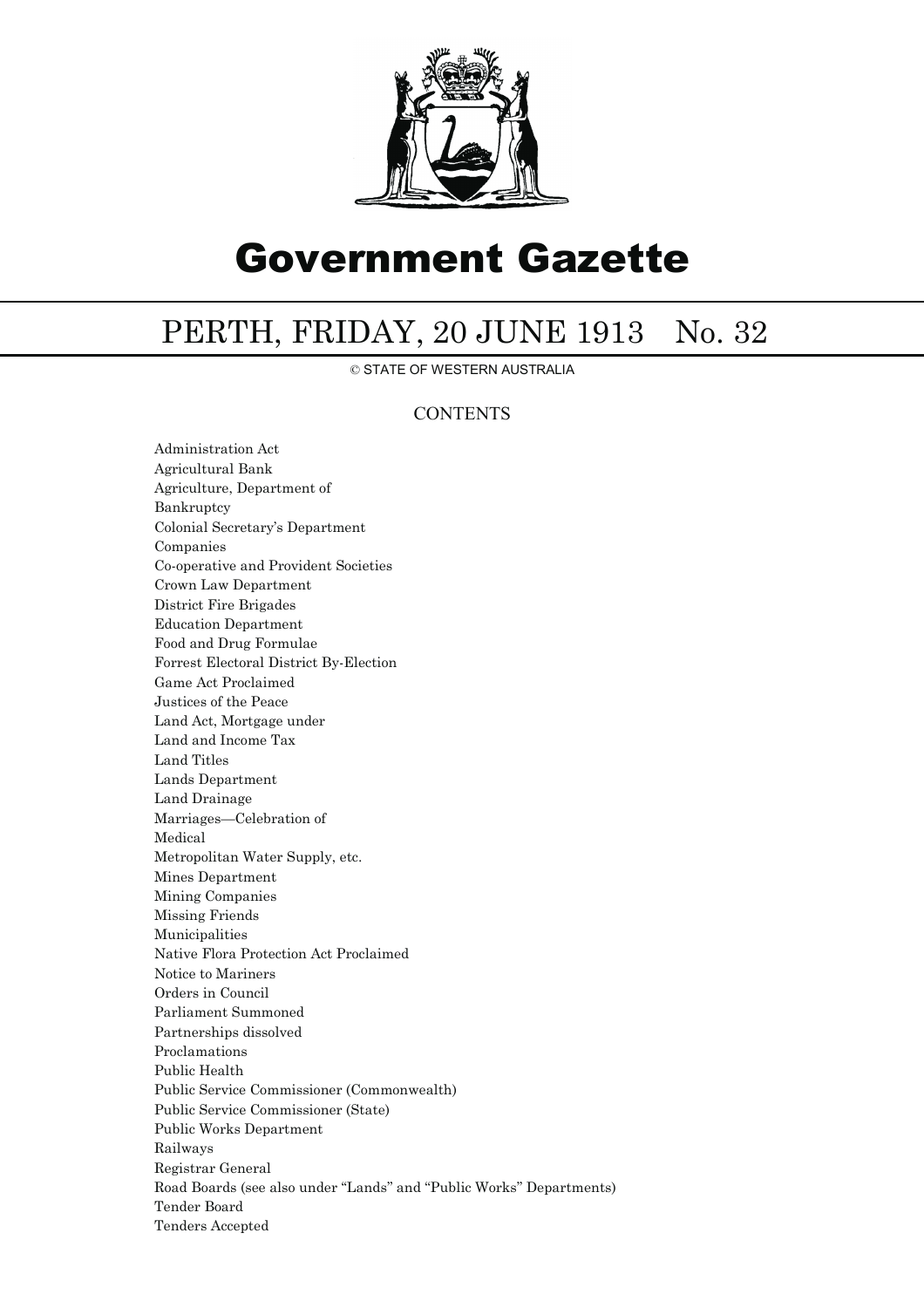

# Government Gazette

## PERTH, FRIDAY, 20 JUNE 1913 No. 32

© STATE OF WESTERN AUSTRALIA

## **CONTENTS**

Administration Act Agricultural Bank Agriculture, Department of Bankruptcy Colonial Secretary's Department Companies Co-operative and Provident Societies Crown Law Department District Fire Brigades Education Department Food and Drug Formulae Forrest Electoral District By-Election Game Act Proclaimed Justices of the Peace Land Act, Mortgage under Land and Income Tax Land Titles Lands Department Land Drainage Marriages—Celebration of Medical Metropolitan Water Supply, etc. Mines Department Mining Companies Missing Friends Municipalities Native Flora Protection Act Proclaimed Notice to Mariners Orders in Council Parliament Summoned Partnerships dissolved Proclamations Public Health Public Service Commissioner (Commonwealth) Public Service Commissioner (State) Public Works Department Railways Registrar General Road Boards (see also under ''Lands'' and ''Public Works'' Departments) Tender Board Tenders Accepted